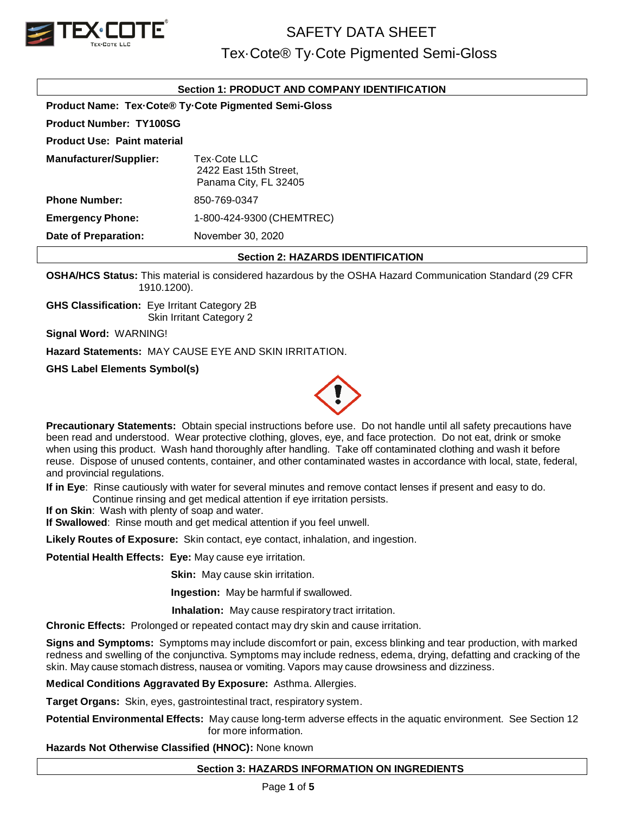

# SAFETY DATA SHEET

# Tex·Cote® Ty·Cote Pigmented Semi-Gloss

### **Section 1: PRODUCT AND COMPANY IDENTIFICATION**

**Product Name: Tex·Cote® Ty·Cote Pigmented Semi-Gloss Product Number: TY100SG**

**Product Use: Paint material**

**Manufacturer/Supplier:** Tex·Cote LLC 2422 East 15th Street, Panama City, FL 32405 **Phone Number: Emergency Phone: Date of Preparation:** 850-769-0347 1-800-424-9300 (CHEMTREC) November 30, 2020

### **Section 2: HAZARDS IDENTIFICATION**

**OSHA/HCS Status:** This material is considered hazardous by the OSHA Hazard Communication Standard (29 CFR 1910.1200).

**GHS Classification:** Eye Irritant Category 2B Skin Irritant Category 2

**Signal Word:** WARNING!

**Hazard Statements:** MAY CAUSE EYE AND SKIN IRRITATION.

**GHS Label Elements Symbol(s)**



**Precautionary Statements:** Obtain special instructions before use. Do not handle until all safety precautions have been read and understood. Wear protective clothing, gloves, eye, and face protection. Do not eat, drink or smoke when using this product. Wash hand thoroughly after handling. Take off contaminated clothing and wash it before reuse. Dispose of unused contents, container, and other contaminated wastes in accordance with local, state, federal, and provincial regulations.

**If in Eye**: Rinse cautiously with water for several minutes and remove contact lenses if present and easy to do. Continue rinsing and get medical attention if eye irritation persists.

**If on Skin**: Wash with plenty of soap and water.

**If Swallowed**: Rinse mouth and get medical attention if you feel unwell.

**Likely Routes of Exposure:** Skin contact, eye contact, inhalation, and ingestion.

**Potential Health Effects: Eye:** May cause eye irritation.

**Skin:** May cause skin irritation.

**Ingestion:** May be harmful if swallowed.

 **Inhalation:** May cause respiratory tract irritation.

**Chronic Effects:** Prolonged or repeated contact may dry skin and cause irritation.

**Signs and Symptoms:** Symptoms may include discomfort or pain, excess blinking and tear production, with marked redness and swelling of the conjunctiva. Symptoms may include redness, edema, drying, defatting and cracking of the skin. May cause stomach distress, nausea or vomiting. Vapors may cause drowsiness and dizziness.

**Medical Conditions Aggravated By Exposure:** Asthma. Allergies.

**Target Organs:** Skin, eyes, gastrointestinal tract, respiratory system.

**Potential Environmental Effects:** May cause long-term adverse effects in the aquatic environment. See Section 12 for more information.

**Hazards Not Otherwise Classified (HNOC):** None known

## **Section 3: HAZARDS INFORMATION ON INGREDIENTS**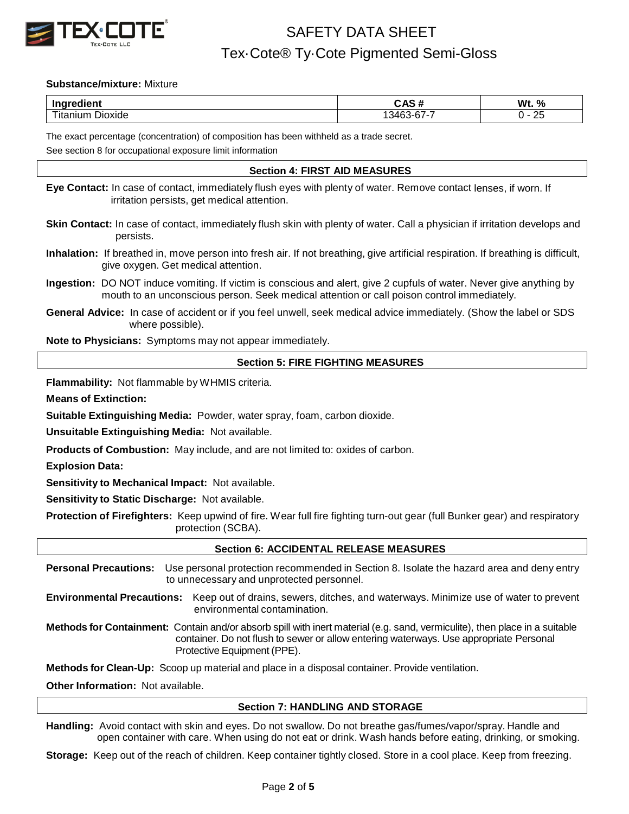

### **Substance/mixture:** Mixture

| .<br>Ingre<br>лени                        | ∼ ле.<br><br>, re                | Wt.<br>%          |
|-------------------------------------------|----------------------------------|-------------------|
| --<br>Jioxide<br>$-100 - 110 = 100$<br>шл | $\sim$ $\sim$ $\sim$<br>ACC<br>. | חר<br>້<br>$\sim$ |

The exact percentage (concentration) of composition has been withheld as a trade secret.

See section 8 for occupational exposure limit information

### **Section 4: FIRST AID MEASURES**

**Eye Contact:** In case of contact, immediately flush eyes with plenty of water. Remove contact lenses, if worn. If irritation persists, get medical attention.

- **Skin Contact:** In case of contact, immediately flush skin with plenty of water. Call a physician if irritation develops and persists.
- **Inhalation:** If breathed in, move person into fresh air. If not breathing, give artificial respiration. If breathing is difficult, give oxygen. Get medical attention.
- **Ingestion:** DO NOT induce vomiting. If victim is conscious and alert, give 2 cupfuls of water. Never give anything by mouth to an unconscious person. Seek medical attention or call poison control immediately.
- **General Advice:** In case of accident or if you feel unwell, seek medical advice immediately. (Show the label or SDS where possible).

**Note to Physicians:** Symptoms may not appear immediately.

### **Section 5: FIRE FIGHTING MEASURES**

**Flammability:** Not flammable by WHMIS criteria.

**Means of Extinction:**

**Suitable Extinguishing Media:** Powder, water spray, foam, carbon dioxide.

**Unsuitable Extinguishing Media:** Not available.

**Products of Combustion:** May include, and are not limited to: oxides of carbon.

**Explosion Data:**

**Sensitivity to Mechanical Impact:** Not available.

**Sensitivity to Static Discharge:** Not available.

**Protection of Firefighters:** Keep upwind of fire. Wear full fire fighting turn-out gear (full Bunker gear) and respiratory protection (SCBA).

### **Section 6: ACCIDENTAL RELEASE MEASURES**

**Personal Precautions:** Use personal protection recommended in Section 8. Isolate the hazard area and deny entry to unnecessary and unprotected personnel.

**Environmental Precautions:** Keep out of drains, sewers, ditches, and waterways. Minimize use of water to prevent environmental contamination.

**Methods for Containment:** Contain and/or absorb spill with inert material (e.g. sand, vermiculite), then place in a suitable container. Do not flush to sewer or allow entering waterways. Use appropriate Personal Protective Equipment (PPE).

**Methods for Clean-Up:** Scoop up material and place in a disposal container. Provide ventilation.

**Other Information:** Not available.

### **Section 7: HANDLING AND STORAGE**

**Handling:** Avoid contact with skin and eyes. Do not swallow. Do not breathe gas/fumes/vapor/spray. Handle and open container with care. When using do not eat or drink. Wash hands before eating, drinking, or smoking.

**Storage:** Keep out of the reach of children. Keep container tightly closed. Store in a cool place. Keep from freezing.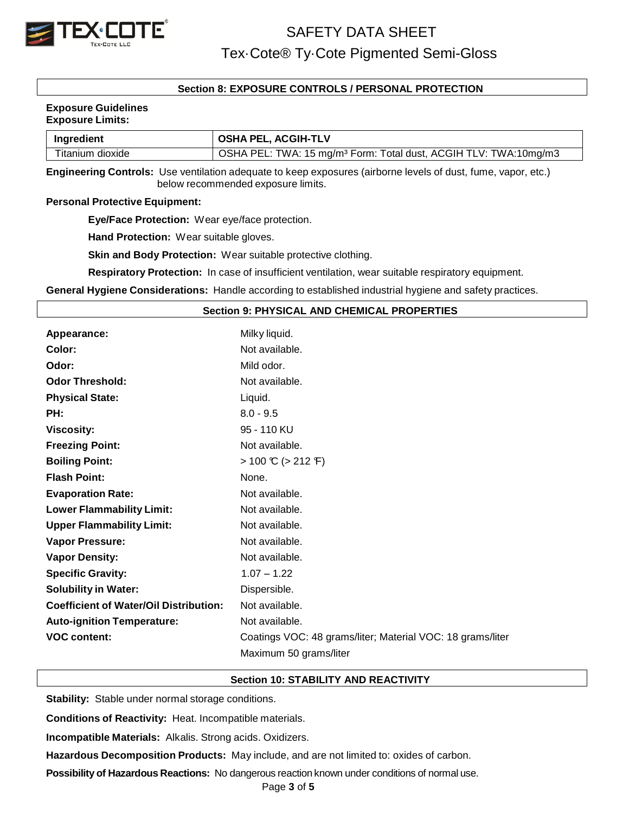

### **Section 8: EXPOSURE CONTROLS / PERSONAL PROTECTION**

#### **Exposure Guidelines Exposure Limits:**

| Ingredient       | <b>OSHA PEL, ACGIH-TLV</b>                                                   |  |
|------------------|------------------------------------------------------------------------------|--|
| Titanium dioxide | OSHA PEL: TWA: 15 mg/m <sup>3</sup> Form: Total dust, ACGIH TLV: TWA:10mg/m3 |  |

**Engineering Controls:** Use ventilation adequate to keep exposures (airborne levels of dust, fume, vapor, etc.) below recommended exposure limits.

### **Personal Protective Equipment:**

**Eye/Face Protection:** Wear eye/face protection.

**Hand Protection:** Wear suitable gloves.

**Skin and Body Protection:** Wear suitable protective clothing.

**Respiratory Protection:** In case of insufficient ventilation, wear suitable respiratory equipment.

**General Hygiene Considerations:** Handle according to established industrial hygiene and safety practices.

### **Section 9: PHYSICAL AND CHEMICAL PROPERTIES**

| Appearance:                                   | Milky liquid.                                              |
|-----------------------------------------------|------------------------------------------------------------|
| Color:                                        | Not available.                                             |
| Odor:                                         | Mild odor.                                                 |
| <b>Odor Threshold:</b>                        | Not available.                                             |
| <b>Physical State:</b>                        | Liquid.                                                    |
| PH:                                           | $8.0 - 9.5$                                                |
| <b>Viscosity:</b>                             | 95 - 110 KU                                                |
| <b>Freezing Point:</b>                        | Not available.                                             |
| <b>Boiling Point:</b>                         | $> 100 \text{ C}$ ( $> 212 \text{ F}$ )                    |
| <b>Flash Point:</b>                           | None.                                                      |
| <b>Evaporation Rate:</b>                      | Not available.                                             |
| <b>Lower Flammability Limit:</b>              | Not available.                                             |
| <b>Upper Flammability Limit:</b>              | Not available.                                             |
| <b>Vapor Pressure:</b>                        | Not available.                                             |
| <b>Vapor Density:</b>                         | Not available.                                             |
| <b>Specific Gravity:</b>                      | $1.07 - 1.22$                                              |
| <b>Solubility in Water:</b>                   | Dispersible.                                               |
| <b>Coefficient of Water/Oil Distribution:</b> | Not available.                                             |
| <b>Auto-ignition Temperature:</b>             | Not available.                                             |
| <b>VOC content:</b>                           | Coatings VOC: 48 grams/liter; Material VOC: 18 grams/liter |
|                                               | Maximum 50 grams/liter                                     |

### **Section 10: STABILITY AND REACTIVITY**

**Stability:** Stable under normal storage conditions.

**Conditions of Reactivity:** Heat. Incompatible materials.

**Incompatible Materials:** Alkalis. Strong acids. Oxidizers.

**Hazardous Decomposition Products:** May include, and are not limited to: oxides of carbon.

**Possibility of Hazardous Reactions:** No dangerous reaction known under conditions of normal use.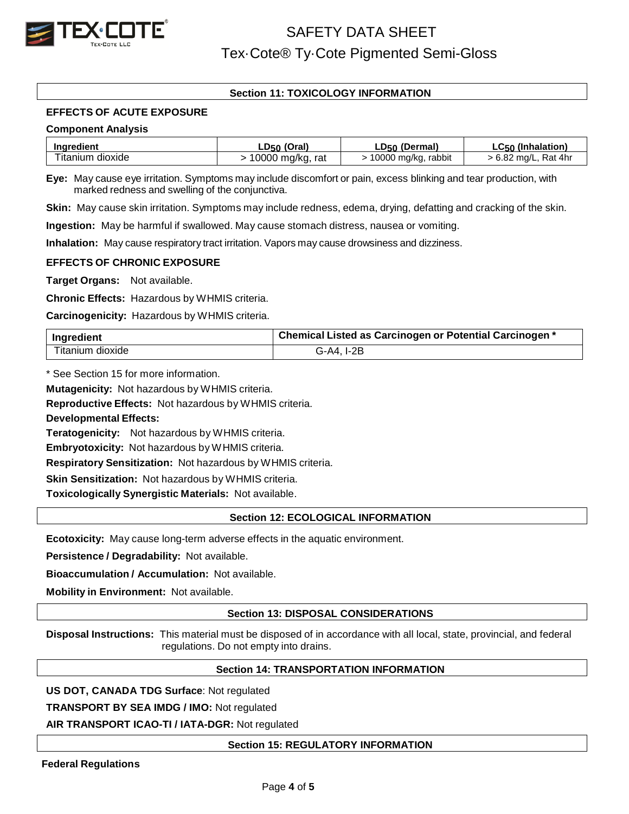

## **Section 11: TOXICOLOGY INFORMATION**

### **EFFECTS OF ACUTE EXPOSURE**

### **Component Analysis**

| Ingredient                   | LD50 (Oral)      | LD <sub>50</sub> (Dermal) | LC <sub>50</sub> (Inhalation) |
|------------------------------|------------------|---------------------------|-------------------------------|
| <sup>r</sup> itanium dioxide | 10000 mg/kg, rat | 10000 mg/kg, rabbit       | $> 6.82$ mg/L, Rat 4hr        |

**Eye:** May cause eye irritation. Symptoms may include discomfort or pain, excess blinking and tear production, with marked redness and swelling of the conjunctiva.

**Skin:** May cause skin irritation. Symptoms may include redness, edema, drying, defatting and cracking of the skin.

**Ingestion:** May be harmful if swallowed. May cause stomach distress, nausea or vomiting.

**Inhalation:** May cause respiratory tract irritation. Vapors may cause drowsiness and dizziness.

### **EFFECTS OF CHRONIC EXPOSURE**

**Target Organs:** Not available.

**Chronic Effects:** Hazardous by WHMIS criteria.

**Carcinogenicity:** Hazardous by WHMIS criteria.

| Ingredient       | Chemical Listed as Carcinogen or Potential Carcinogen * |  |
|------------------|---------------------------------------------------------|--|
| Titanium dioxide | G-A4. I-2B                                              |  |

\* See Section 15 for more information.

**Mutagenicity:** Not hazardous by WHMIS criteria.

**Reproductive Effects:** Not hazardous by WHMIS criteria.

**Developmental Effects:**

**Teratogenicity:** Not hazardous by WHMIS criteria.

**Embryotoxicity:** Not hazardous by WHMIS criteria.

**Respiratory Sensitization:** Not hazardous by WHMIS criteria.

**Skin Sensitization:** Not hazardous by WHMIS criteria.

**Toxicologically Synergistic Materials:** Not available.

### **Section 12: ECOLOGICAL INFORMATION**

**Ecotoxicity:** May cause long-term adverse effects in the aquatic environment.

**Persistence / Degradability:** Not available.

**Bioaccumulation / Accumulation:** Not available.

**Mobility in Environment:** Not available.

### **Section 13: DISPOSAL CONSIDERATIONS**

**Disposal Instructions:** This material must be disposed of in accordance with all local, state, provincial, and federal regulations. Do not empty into drains.

### **Section 14: TRANSPORTATION INFORMATION**

**US DOT, CANADA TDG Surface**: Not regulated

**TRANSPORT BY SEA IMDG / IMO:** Not regulated

**AIR TRANSPORT ICAO-TI / IATA-DGR:** Not regulated

**Section 15: REGULATORY INFORMATION**

**Federal Regulations**